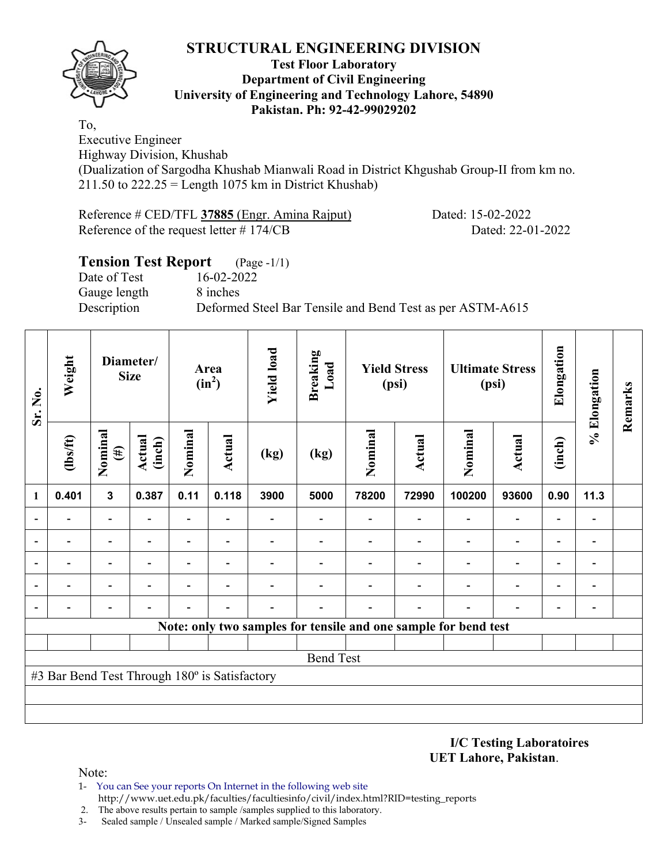

#### **Test Floor Laboratory Department of Civil Engineering University of Engineering and Technology Lahore, 54890 Pakistan. Ph: 92-42-99029202**

To, Executive Engineer Highway Division, Khushab

(Dualization of Sargodha Khushab Mianwali Road in District Khgushab Group-II from km no.  $211.50$  to  $222.25 =$  Length 1075 km in District Khushab)

Reference # CED/TFL **37885** (Engr. Amina Rajput) Dated: 15-02-2022 Reference of the request letter # 174/CB Dated: 22-01-2022

| <b>Tension Test Report</b> | $(Page - 1/1)$                                            |
|----------------------------|-----------------------------------------------------------|
| Date of Test               | 16-02-2022                                                |
| Gauge length               | 8 inches                                                  |
| Description                | Deformed Steel Bar Tensile and Bend Test as per ASTM-A615 |
|                            |                                                           |

| Sr. No.                  | Weight                                        |                          | Diameter/<br><b>Size</b> |                          | Area<br>$(in^2)$ | <b>Yield load</b> | <b>Breaking</b><br>Load |         | <b>Yield Stress</b><br>(psi) |                                                                 | <b>Ultimate Stress</b><br>(psi) | Elongation                   | % Elongation                 | Remarks |
|--------------------------|-----------------------------------------------|--------------------------|--------------------------|--------------------------|------------------|-------------------|-------------------------|---------|------------------------------|-----------------------------------------------------------------|---------------------------------|------------------------------|------------------------------|---------|
|                          | $\frac{2}{10}$                                | Nominal<br>$(\#)$        |                          | Nominal                  | Actual           | (kg)              | (kg)                    | Nominal | Actual                       | Nominal                                                         | <b>Actual</b>                   | (inch)                       |                              |         |
| 1                        | 0.401                                         | $\mathbf{3}$             | 0.387                    | 0.11                     | 0.118            | 3900              | 5000                    | 78200   | 72990                        | 100200                                                          | 93600                           | 0.90                         | 11.3                         |         |
| $\overline{\phantom{a}}$ |                                               | $\overline{\phantom{0}}$ | $\overline{\phantom{0}}$ | $\overline{\phantom{0}}$ |                  |                   | $\blacksquare$          |         | $\overline{\phantom{0}}$     | $\overline{\phantom{a}}$                                        | $\overline{\phantom{a}}$        | $\qquad \qquad \blacksquare$ | $\qquad \qquad \blacksquare$ |         |
| $\overline{\phantom{a}}$ |                                               |                          |                          | $\overline{\phantom{0}}$ |                  |                   |                         |         |                              | $\overline{\phantom{0}}$                                        | $\overline{\phantom{a}}$        | $\overline{\phantom{a}}$     |                              |         |
| $\overline{\phantom{a}}$ |                                               |                          |                          | $\overline{\phantom{0}}$ |                  |                   |                         |         |                              | $\overline{\phantom{0}}$                                        | $\qquad \qquad \blacksquare$    | $\overline{\phantom{0}}$     | $\overline{a}$               |         |
| ۰                        |                                               | $\overline{\phantom{0}}$ |                          | -                        |                  |                   |                         |         |                              |                                                                 | $\overline{\phantom{0}}$        | $\overline{\phantom{a}}$     | $\blacksquare$               |         |
| $\overline{\phantom{0}}$ |                                               | $\overline{\phantom{0}}$ |                          | $\overline{a}$           |                  |                   |                         |         | $\overline{\phantom{0}}$     |                                                                 | $\overline{\phantom{0}}$        | $\overline{\phantom{a}}$     | $\qquad \qquad \blacksquare$ |         |
|                          |                                               |                          |                          |                          |                  |                   |                         |         |                              | Note: only two samples for tensile and one sample for bend test |                                 |                              |                              |         |
|                          |                                               |                          |                          |                          |                  |                   |                         |         |                              |                                                                 |                                 |                              |                              |         |
|                          |                                               |                          |                          |                          |                  |                   | <b>Bend Test</b>        |         |                              |                                                                 |                                 |                              |                              |         |
|                          | #3 Bar Bend Test Through 180° is Satisfactory |                          |                          |                          |                  |                   |                         |         |                              |                                                                 |                                 |                              |                              |         |
|                          |                                               |                          |                          |                          |                  |                   |                         |         |                              |                                                                 |                                 |                              |                              |         |
|                          |                                               |                          |                          |                          |                  |                   |                         |         |                              |                                                                 |                                 |                              |                              |         |

**I/C Testing Laboratoires UET Lahore, Pakistan**.

- 1- You can See your reports On Internet in the following web site http://www.uet.edu.pk/faculties/facultiesinfo/civil/index.html?RID=testing\_reports
- 2. The above results pertain to sample /samples supplied to this laboratory.
- 3- Sealed sample / Unsealed sample / Marked sample/Signed Samples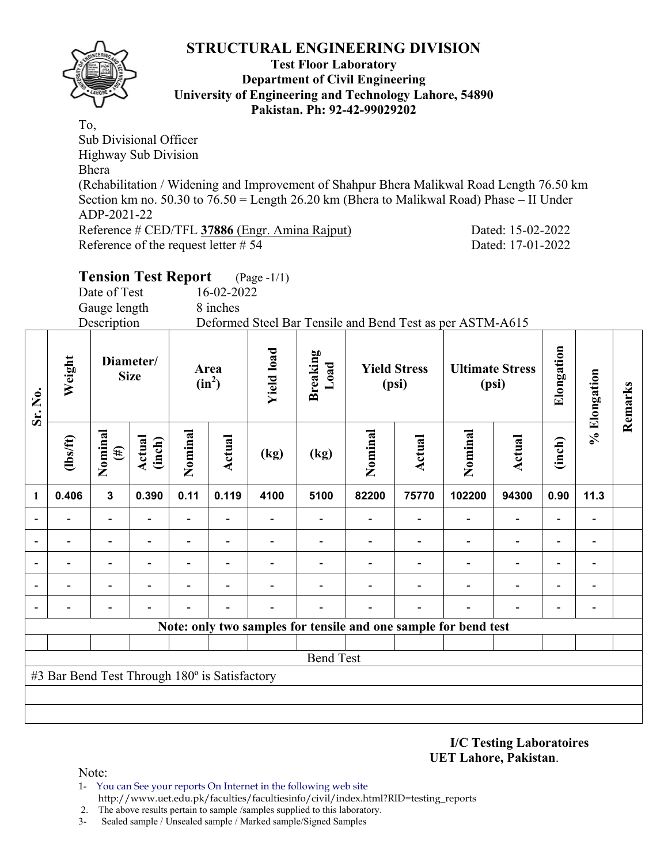

#### **Test Floor Laboratory Department of Civil Engineering University of Engineering and Technology Lahore, 54890 Pakistan. Ph: 92-42-99029202**

To, Sub Divisional Officer Highway Sub Division Bhera (Rehabilitation / Widening and Improvement of Shahpur Bhera Malikwal Road Length 76.50 km Section km no. 50.30 to 76.50 = Length 26.20 km (Bhera to Malikwal Road) Phase – II Under ADP-2021-22 Reference # CED/TFL 37886 (Engr. Amina Rajput) Dated: 15-02-2022 Reference of the request letter # 54 Dated: 17-01-2022

# **Tension Test Report** (Page -1/1)

Date of Test 16-02-2022

Gauge length 8 inches

Description Deformed Steel Bar Tensile and Bend Test as per ASTM-A615

| Sr. No.                  | Weight                                        | Diameter/<br><b>Size</b> |                         |                | Area<br>$(in^2)$         | <b>Yield load</b> | <b>Breaking</b><br>Load |                          | <b>Yield Stress</b><br>(psi) | <b>Ultimate Stress</b><br>(psi)                                 |                          | Elongation               | % Elongation             | Remarks |
|--------------------------|-----------------------------------------------|--------------------------|-------------------------|----------------|--------------------------|-------------------|-------------------------|--------------------------|------------------------------|-----------------------------------------------------------------|--------------------------|--------------------------|--------------------------|---------|
|                          | $\frac{2}{10}$                                | Nominal<br>$(\#)$        | <b>Actual</b><br>(inch) | Nominal        | Actual                   | (kg)              | (kg)                    | Nominal                  | <b>Actual</b>                | Nominal                                                         | <b>Actual</b>            | (inch)                   |                          |         |
| $\mathbf{1}$             | 0.406                                         | $\mathbf{3}$             | 0.390                   | 0.11           | 0.119                    | 4100              | 5100                    | 82200                    | 75770                        | 102200                                                          | 94300                    | 0.90                     | 11.3                     |         |
| $\overline{\phantom{0}}$ | $\overline{\phantom{0}}$                      | $\overline{\phantom{0}}$ |                         | Ξ.             |                          |                   |                         | $\overline{\phantom{0}}$ | $\overline{\phantom{0}}$     | $\overline{\phantom{0}}$                                        | $\overline{\phantom{a}}$ | $\overline{\phantom{a}}$ | $\overline{\phantom{a}}$ |         |
|                          |                                               |                          |                         |                |                          |                   |                         |                          |                              | $\overline{\phantom{0}}$                                        | $\overline{\phantom{a}}$ | $\overline{\phantom{a}}$ |                          |         |
|                          | $\overline{\phantom{0}}$                      | -                        |                         | $\overline{a}$ |                          |                   |                         |                          |                              | $\overline{\phantom{0}}$                                        | $\overline{\phantom{0}}$ | $\overline{\phantom{a}}$ | $\overline{\phantom{a}}$ |         |
|                          |                                               |                          |                         | -              | $\overline{\phantom{0}}$ |                   |                         |                          |                              | $\overline{\phantom{0}}$                                        | $\overline{\phantom{0}}$ | $\overline{\phantom{0}}$ | $\overline{\phantom{a}}$ |         |
|                          |                                               |                          |                         |                |                          |                   |                         |                          |                              |                                                                 |                          |                          |                          |         |
|                          |                                               |                          |                         |                |                          |                   |                         |                          |                              | Note: only two samples for tensile and one sample for bend test |                          |                          |                          |         |
|                          |                                               |                          |                         |                |                          |                   |                         |                          |                              |                                                                 |                          |                          |                          |         |
|                          |                                               |                          |                         |                |                          |                   | <b>Bend Test</b>        |                          |                              |                                                                 |                          |                          |                          |         |
|                          | #3 Bar Bend Test Through 180° is Satisfactory |                          |                         |                |                          |                   |                         |                          |                              |                                                                 |                          |                          |                          |         |
|                          |                                               |                          |                         |                |                          |                   |                         |                          |                              |                                                                 |                          |                          |                          |         |
|                          |                                               |                          |                         |                |                          |                   |                         |                          |                              |                                                                 |                          |                          |                          |         |

**I/C Testing Laboratoires UET Lahore, Pakistan**.

- 1- You can See your reports On Internet in the following web site http://www.uet.edu.pk/faculties/facultiesinfo/civil/index.html?RID=testing\_reports
- 2. The above results pertain to sample /samples supplied to this laboratory.
- 3- Sealed sample / Unsealed sample / Marked sample/Signed Samples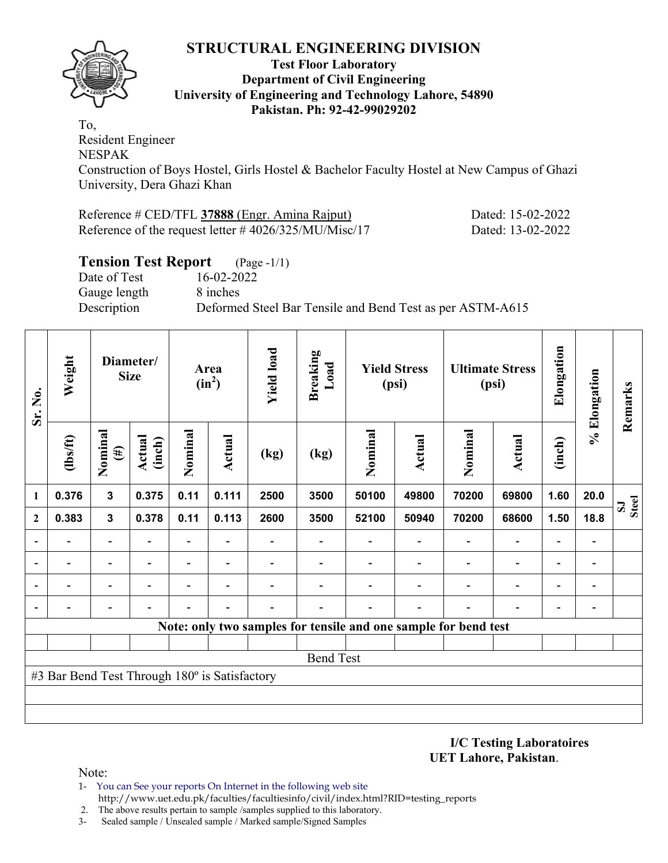

#### **Test Floor Laboratory Department of Civil Engineering University of Engineering and Technology Lahore, 54890 Pakistan. Ph: 92-42-99029202**

To, Resident Engineer NESPAK Construction of Boys Hostel, Girls Hostel & Bachelor Faculty Hostel at New Campus of Ghazi University, Dera Ghazi Khan

| Reference # CED/TFL 37888 (Engr. Amina Rajput)           | Dated: 15-02-2022 |
|----------------------------------------------------------|-------------------|
| Reference of the request letter $\# 4026/325/MU/Misc/17$ | Dated: 13-02-2022 |

# **Tension Test Report** (Page -1/1)

Date of Test 16-02-2022 Gauge length 8 inches

Description Deformed Steel Bar Tensile and Bend Test as per ASTM-A615

| Sr. No.        | Weight                                        |                          | Diameter/<br><b>Size</b> |                              | Area<br>$(in^2)$         | <b>Yield load</b> | <b>Breaking</b><br>Load |         | <b>Yield Stress</b><br>(psi)                                    | <b>Ultimate Stress</b><br>(psi) |                          | Elongation               | % Elongation             | Remarks                      |
|----------------|-----------------------------------------------|--------------------------|--------------------------|------------------------------|--------------------------|-------------------|-------------------------|---------|-----------------------------------------------------------------|---------------------------------|--------------------------|--------------------------|--------------------------|------------------------------|
|                | $\frac{2}{10}$                                | Nominal<br>$(\#)$        | Actual<br>(inch)         | Nominal                      | Actual                   | (kg)              | (kg)                    | Nominal | <b>Actual</b>                                                   | Nominal                         | <b>Actual</b>            | (inch)                   |                          |                              |
| 1              | 0.376                                         | $\overline{\mathbf{3}}$  | 0.375                    | 0.11                         | 0.111                    | 2500              | 3500                    | 50100   | 49800                                                           | 70200                           | 69800                    | 1.60                     | 20.0                     | <b>Steel</b><br>$\mathbf{S}$ |
| $\mathbf{2}$   | 0.383                                         | $\mathbf{3}$             | 0.378                    | 0.11                         | 0.113                    | 2600              | 3500                    | 52100   | 50940                                                           | 70200                           | 68600                    | 1.50                     | 18.8                     |                              |
| $\overline{a}$ | $\overline{\phantom{0}}$                      | $\overline{\phantom{a}}$ | ۰                        | $\qquad \qquad \blacksquare$ |                          |                   |                         |         | $\overline{\phantom{a}}$                                        | $\overline{\phantom{0}}$        | $\blacksquare$           | $\overline{\phantom{0}}$ | $\overline{\phantom{a}}$ |                              |
|                |                                               | Ξ.                       | ۰                        | $\overline{\phantom{a}}$     | $\overline{\phantom{0}}$ |                   |                         |         | $\overline{\phantom{a}}$                                        | $\overline{\phantom{0}}$        | $\blacksquare$           | $\overline{\phantom{0}}$ |                          |                              |
| $\blacksquare$ |                                               | $\blacksquare$           |                          |                              |                          |                   |                         |         |                                                                 |                                 | $\overline{\phantom{0}}$ | $\blacksquare$           |                          |                              |
|                |                                               |                          |                          |                              |                          |                   |                         |         |                                                                 |                                 |                          |                          |                          |                              |
|                |                                               |                          |                          |                              |                          |                   |                         |         | Note: only two samples for tensile and one sample for bend test |                                 |                          |                          |                          |                              |
|                |                                               |                          |                          |                              |                          |                   |                         |         |                                                                 |                                 |                          |                          |                          |                              |
|                |                                               |                          |                          |                              |                          |                   | <b>Bend Test</b>        |         |                                                                 |                                 |                          |                          |                          |                              |
|                | #3 Bar Bend Test Through 180° is Satisfactory |                          |                          |                              |                          |                   |                         |         |                                                                 |                                 |                          |                          |                          |                              |
|                |                                               |                          |                          |                              |                          |                   |                         |         |                                                                 |                                 |                          |                          |                          |                              |
|                |                                               |                          |                          |                              |                          |                   |                         |         |                                                                 |                                 |                          |                          |                          |                              |

**I/C Testing Laboratoires UET Lahore, Pakistan**.

- 1- You can See your reports On Internet in the following web site http://www.uet.edu.pk/faculties/facultiesinfo/civil/index.html?RID=testing\_reports
- 2. The above results pertain to sample /samples supplied to this laboratory.
- 3- Sealed sample / Unsealed sample / Marked sample/Signed Samples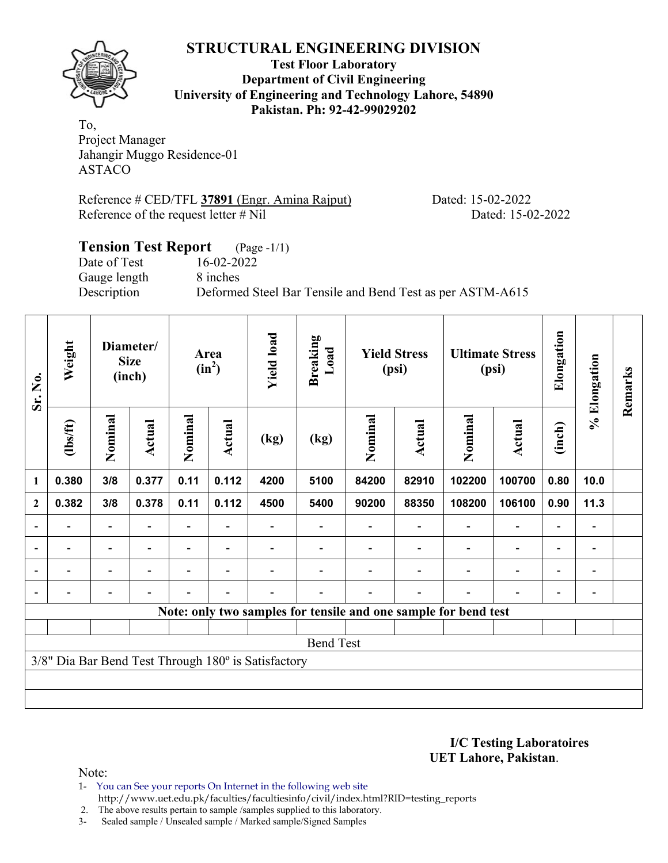**Test Floor Laboratory Department of Civil Engineering University of Engineering and Technology Lahore, 54890 Pakistan. Ph: 92-42-99029202** 

To, Project Manager Jahangir Muggo Residence-01 ASTACO

Reference # CED/TFL 37891 (Engr. Amina Rajput) Dated: 15-02-2022 Reference of the request letter # Nil Dated: 15-02-2022

### **Tension Test Report** (Page -1/1) Date of Test 16-02-2022 Gauge length 8 inches Description Deformed Steel Bar Tensile and Bend Test as per ASTM-A615

| Sr. No.<br>1             | Weight                                              |                          | Diameter/<br><b>Size</b><br>(inch) | Area<br>$(in^2)$ |                          | <b>Yield load</b><br><b>Breaking</b><br>Load |                  |         | <b>Yield Stress</b><br>(psi) |                                                                 | <b>Ultimate Stress</b><br>(psi) | Elongation               | % Elongation   | Remarks |
|--------------------------|-----------------------------------------------------|--------------------------|------------------------------------|------------------|--------------------------|----------------------------------------------|------------------|---------|------------------------------|-----------------------------------------------------------------|---------------------------------|--------------------------|----------------|---------|
|                          | $\frac{2}{10}$                                      | Nominal                  | Actual                             | Nominal          | <b>Actual</b>            | (kg)                                         | (kg)             | Nominal | Actual                       | Nominal                                                         | <b>Actual</b>                   | (inch)                   |                |         |
|                          | 0.380                                               | 3/8                      | 0.377                              | 0.11             | 0.112                    | 4200                                         | 5100             | 84200   | 82910                        | 102200                                                          | 100700                          | 0.80                     | 10.0           |         |
| $\overline{2}$           | 0.382                                               | 3/8                      | 0.378                              | 0.11             | 0.112                    | 4500                                         | 5400             | 90200   | 88350                        | 108200                                                          | 106100                          | 0.90                     | 11.3           |         |
| $\overline{\phantom{a}}$ |                                                     |                          |                                    |                  |                          |                                              |                  |         |                              |                                                                 | $\overline{\phantom{0}}$        | $\overline{\phantom{0}}$ |                |         |
| $\blacksquare$           | $\overline{\phantom{0}}$                            | $\overline{\phantom{0}}$ | $\overline{a}$                     |                  | $\overline{\phantom{0}}$ |                                              |                  |         |                              |                                                                 | $\overline{\phantom{a}}$        | $\overline{\phantom{a}}$ | $\blacksquare$ |         |
|                          |                                                     |                          | $\overline{a}$                     |                  | $\overline{\phantom{0}}$ |                                              |                  |         |                              |                                                                 | $\overline{\phantom{0}}$        | $\overline{\phantom{0}}$ |                |         |
|                          |                                                     |                          |                                    |                  |                          |                                              |                  |         |                              |                                                                 | $\overline{\phantom{0}}$        | $\overline{\phantom{0}}$ |                |         |
|                          |                                                     |                          |                                    |                  |                          |                                              |                  |         |                              | Note: only two samples for tensile and one sample for bend test |                                 |                          |                |         |
|                          |                                                     |                          |                                    |                  |                          |                                              |                  |         |                              |                                                                 |                                 |                          |                |         |
|                          |                                                     |                          |                                    |                  |                          |                                              | <b>Bend Test</b> |         |                              |                                                                 |                                 |                          |                |         |
|                          | 3/8" Dia Bar Bend Test Through 180° is Satisfactory |                          |                                    |                  |                          |                                              |                  |         |                              |                                                                 |                                 |                          |                |         |
|                          |                                                     |                          |                                    |                  |                          |                                              |                  |         |                              |                                                                 |                                 |                          |                |         |
|                          |                                                     |                          |                                    |                  |                          |                                              |                  |         |                              |                                                                 |                                 |                          |                |         |

**I/C Testing Laboratoires UET Lahore, Pakistan**.

Note:

1- You can See your reports On Internet in the following web site http://www.uet.edu.pk/faculties/facultiesinfo/civil/index.html?RID=testing\_reports

2. The above results pertain to sample /samples supplied to this laboratory.

3- Sealed sample / Unsealed sample / Marked sample/Signed Samples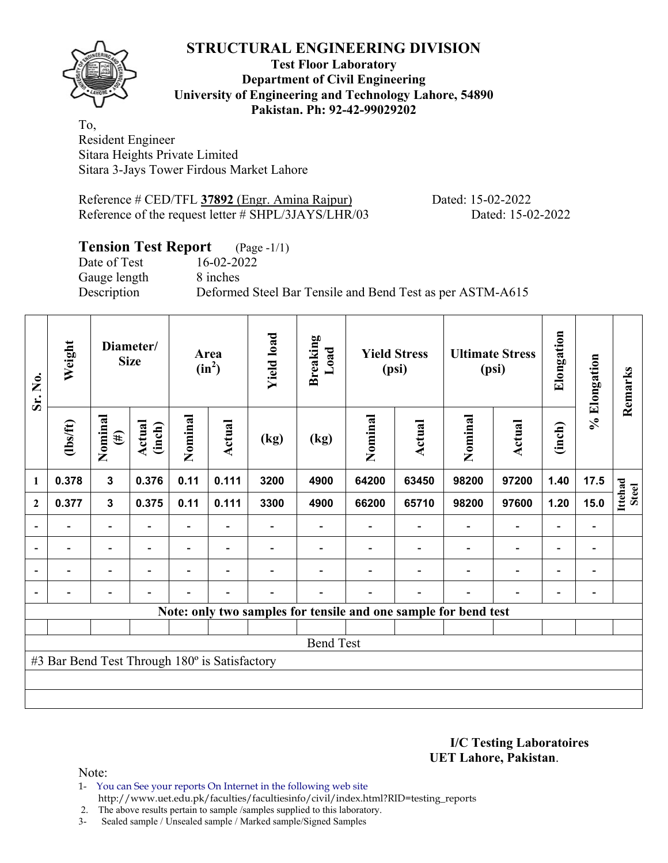**Test Floor Laboratory Department of Civil Engineering University of Engineering and Technology Lahore, 54890 Pakistan. Ph: 92-42-99029202** 

To, Resident Engineer Sitara Heights Private Limited Sitara 3-Jays Tower Firdous Market Lahore

Reference # CED/TFL **37892** (Engr. Amina Rajpur) Dated: 15-02-2022 Reference of the request letter # SHPL/3JAYS/LHR/03 Dated: 15-02-2022

# **Tension Test Report** (Page -1/1)

Date of Test 16-02-2022 Gauge length 8 inches

Description Deformed Steel Bar Tensile and Bend Test as per ASTM-A615

| Sr. No.        | Weight                                        |                          | Diameter/<br><b>Size</b> |                | Area<br>$(in^2)$         | <b>Yield load</b> | <b>Breaking</b><br>Load |         | <b>Yield Stress</b><br>(psi)                                    | <b>Ultimate Stress</b><br>(psi) |                          | Elongation               | % Elongation   | Remarks                 |
|----------------|-----------------------------------------------|--------------------------|--------------------------|----------------|--------------------------|-------------------|-------------------------|---------|-----------------------------------------------------------------|---------------------------------|--------------------------|--------------------------|----------------|-------------------------|
|                | $\frac{2}{10}$                                | Nominal<br>$(\#)$        | Actual<br>(inch)         | Nominal        | <b>Actual</b>            | (kg)              | (kg)                    | Nominal | Actual                                                          | Nominal                         | <b>Actual</b>            | (inch)                   |                |                         |
| $\mathbf{1}$   | 0.378                                         | 3                        | 0.376                    | 0.11           | 0.111                    | 3200              | 4900                    | 64200   | 63450                                                           | 98200                           | 97200                    | 1.40                     | 17.5           |                         |
| $\mathbf{2}$   | 0.377                                         | $\mathbf{3}$             | 0.375                    | 0.11           | 0.111                    | 3300              | 4900                    | 66200   | 65710                                                           | 98200                           | 97600                    | 1.20                     | 15.0           | Ittehad<br><b>Steel</b> |
|                |                                               | $\overline{\phantom{0}}$ |                          |                |                          |                   |                         |         |                                                                 |                                 |                          |                          |                |                         |
| $\blacksquare$ | $\blacksquare$                                | $\overline{\phantom{a}}$ | $\blacksquare$           |                | $\blacksquare$           |                   |                         |         |                                                                 | $\blacksquare$                  | $\overline{\phantom{0}}$ | $\overline{\phantom{0}}$ | $\blacksquare$ |                         |
|                | $\blacksquare$                                | Ξ.                       |                          |                | $\blacksquare$           |                   |                         |         |                                                                 | $\overline{\phantom{0}}$        | $\overline{\phantom{0}}$ | $\overline{\phantom{0}}$ |                |                         |
|                |                                               | $\overline{\phantom{0}}$ | $\overline{\phantom{0}}$ | $\overline{a}$ | $\overline{\phantom{0}}$ |                   |                         |         | $\overline{\phantom{0}}$                                        | $\overline{\phantom{0}}$        |                          | ٠                        |                |                         |
|                |                                               |                          |                          |                |                          |                   |                         |         | Note: only two samples for tensile and one sample for bend test |                                 |                          |                          |                |                         |
|                |                                               |                          |                          |                |                          |                   |                         |         |                                                                 |                                 |                          |                          |                |                         |
|                |                                               |                          |                          |                |                          |                   | <b>Bend Test</b>        |         |                                                                 |                                 |                          |                          |                |                         |
|                | #3 Bar Bend Test Through 180° is Satisfactory |                          |                          |                |                          |                   |                         |         |                                                                 |                                 |                          |                          |                |                         |
|                |                                               |                          |                          |                |                          |                   |                         |         |                                                                 |                                 |                          |                          |                |                         |
|                |                                               |                          |                          |                |                          |                   |                         |         |                                                                 |                                 |                          |                          |                |                         |

**I/C Testing Laboratoires UET Lahore, Pakistan**.

Note:

1- You can See your reports On Internet in the following web site http://www.uet.edu.pk/faculties/facultiesinfo/civil/index.html?RID=testing\_reports

2. The above results pertain to sample /samples supplied to this laboratory.

3- Sealed sample / Unsealed sample / Marked sample/Signed Samples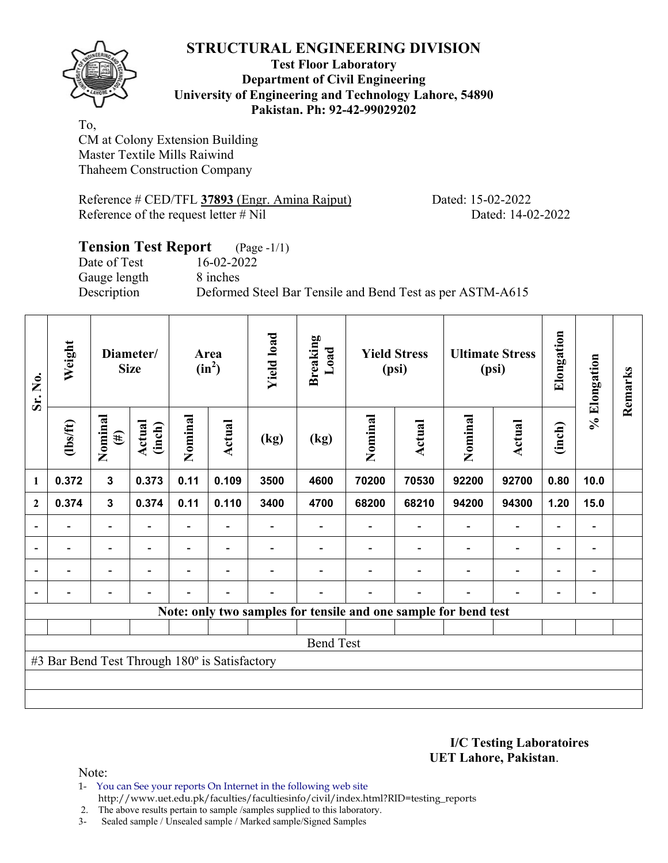

#### **Test Floor Laboratory Department of Civil Engineering University of Engineering and Technology Lahore, 54890 Pakistan. Ph: 92-42-99029202**

To, CM at Colony Extension Building Master Textile Mills Raiwind Thaheem Construction Company

Reference # CED/TFL **37893** (Engr. Amina Rajput) Dated: 15-02-2022 Reference of the request letter # Nil Dated: 14-02-2022

## **Tension Test Report** (Page -1/1) Date of Test 16-02-2022 Gauge length 8 inches Description Deformed Steel Bar Tensile and Bend Test as per ASTM-A615

| Sr. No.        | Weight                                        |                          | Diameter/<br><b>Size</b> |         | <b>Yield load</b><br><b>Breaking</b><br>Load<br><b>Yield Stress</b><br>Area<br>$(in^2)$<br>(psi) |      |                  | <b>Ultimate Stress</b><br>(psi) |        | Elongation                                                      | % Elongation             | Remarks                  |                              |  |
|----------------|-----------------------------------------------|--------------------------|--------------------------|---------|--------------------------------------------------------------------------------------------------|------|------------------|---------------------------------|--------|-----------------------------------------------------------------|--------------------------|--------------------------|------------------------------|--|
|                | $\frac{2}{10}$                                | Nominal<br>$(\#)$        | Actual<br>(inch)         | Nominal | Actual                                                                                           | (kg) | (kg)             | Nominal                         | Actual | Nominal                                                         | <b>Actual</b>            | (inch)                   |                              |  |
| 1              | 0.372                                         | $\mathbf{3}$             | 0.373                    | 0.11    | 0.109                                                                                            | 3500 | 4600             | 70200                           | 70530  | 92200                                                           | 92700                    | 0.80                     | 10.0                         |  |
| $\mathbf{2}$   | 0.374                                         | $\mathbf{3}$             | 0.374                    | 0.11    | 0.110                                                                                            | 3400 | 4700             | 68200                           | 68210  | 94200                                                           | 94300                    | 1.20                     | 15.0                         |  |
|                |                                               | $\overline{\phantom{0}}$ |                          |         |                                                                                                  |      |                  |                                 |        |                                                                 | $\overline{\phantom{0}}$ | $\overline{\phantom{0}}$ |                              |  |
| $\blacksquare$ |                                               | $\overline{\phantom{a}}$ |                          |         | ۰                                                                                                |      |                  |                                 |        |                                                                 | $\overline{\phantom{0}}$ | $\overline{\phantom{0}}$ | $\blacksquare$               |  |
| $\blacksquare$ | -                                             | Ξ.                       |                          |         |                                                                                                  |      |                  |                                 |        | ۰                                                               | $\blacksquare$           | $\overline{\phantom{0}}$ | $\overline{\phantom{0}}$     |  |
|                |                                               | $\overline{a}$           |                          |         | $\overline{\phantom{a}}$                                                                         |      |                  |                                 |        | $\blacksquare$                                                  | $\overline{a}$           | -                        | $\qquad \qquad \blacksquare$ |  |
|                |                                               |                          |                          |         |                                                                                                  |      |                  |                                 |        | Note: only two samples for tensile and one sample for bend test |                          |                          |                              |  |
|                |                                               |                          |                          |         |                                                                                                  |      |                  |                                 |        |                                                                 |                          |                          |                              |  |
|                |                                               |                          |                          |         |                                                                                                  |      | <b>Bend Test</b> |                                 |        |                                                                 |                          |                          |                              |  |
|                | #3 Bar Bend Test Through 180° is Satisfactory |                          |                          |         |                                                                                                  |      |                  |                                 |        |                                                                 |                          |                          |                              |  |
|                |                                               |                          |                          |         |                                                                                                  |      |                  |                                 |        |                                                                 |                          |                          |                              |  |
|                |                                               |                          |                          |         |                                                                                                  |      |                  |                                 |        |                                                                 |                          |                          |                              |  |

**I/C Testing Laboratoires UET Lahore, Pakistan**.

- 1- You can See your reports On Internet in the following web site http://www.uet.edu.pk/faculties/facultiesinfo/civil/index.html?RID=testing\_reports
- 2. The above results pertain to sample /samples supplied to this laboratory.
- 3- Sealed sample / Unsealed sample / Marked sample/Signed Samples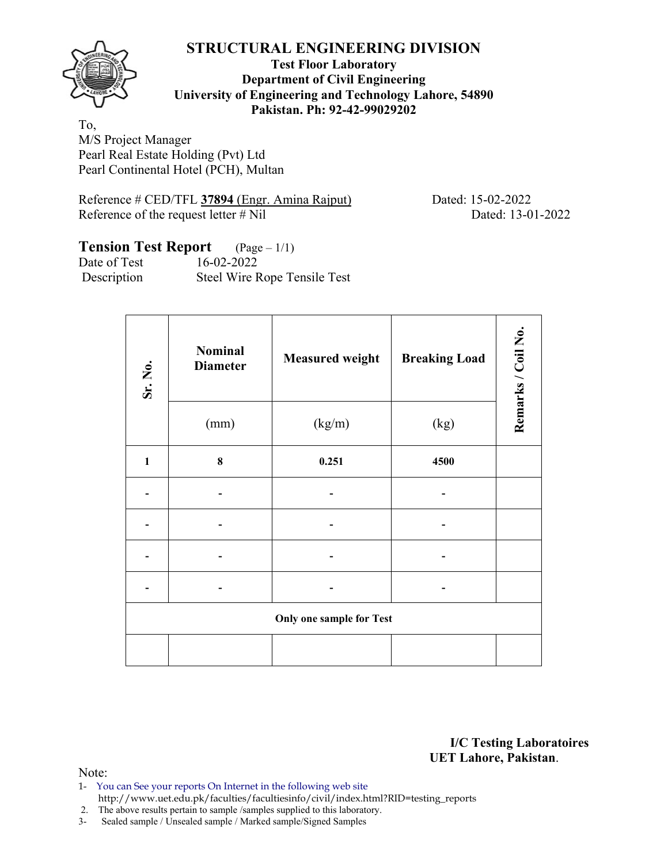

**Test Floor Laboratory Department of Civil Engineering University of Engineering and Technology Lahore, 54890 Pakistan. Ph: 92-42-99029202** 

To, M/S Project Manager Pearl Real Estate Holding (Pvt) Ltd Pearl Continental Hotel (PCH), Multan

Reference # CED/TFL **37894** (Engr. Amina Rajput) Dated: 15-02-2022 Reference of the request letter # Nil Dated: 13-01-2022

# **Tension Test Report** (Page – 1/1)

Date of Test 16-02-2022 Description Steel Wire Rope Tensile Test

| Sr. No.      | <b>Nominal</b><br><b>Diameter</b> | <b>Measured weight</b>          | <b>Breaking Load</b> | Remarks / Coil No. |  |
|--------------|-----------------------------------|---------------------------------|----------------------|--------------------|--|
|              | (mm)                              | (kg/m)                          | (kg)                 |                    |  |
| $\mathbf{1}$ | $\bf{8}$                          | 0.251                           | 4500                 |                    |  |
|              |                                   |                                 |                      |                    |  |
|              |                                   |                                 |                      |                    |  |
|              |                                   |                                 |                      |                    |  |
|              |                                   |                                 |                      |                    |  |
|              |                                   | <b>Only one sample for Test</b> |                      |                    |  |
|              |                                   |                                 |                      |                    |  |

**I/C Testing Laboratoires UET Lahore, Pakistan**.

- 1- You can See your reports On Internet in the following web site http://www.uet.edu.pk/faculties/facultiesinfo/civil/index.html?RID=testing\_reports
- 2. The above results pertain to sample /samples supplied to this laboratory.
- 3- Sealed sample / Unsealed sample / Marked sample/Signed Samples